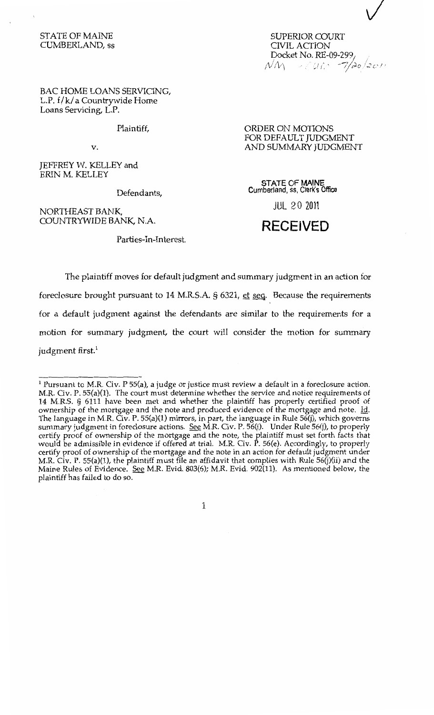## STATE OF MAINE CUMBERLAND, ss

SUPERIOR COURT CIVIL ACTION Docket No. RE-09-2991  $\mathcal{N}\mathcal{N} \to \mathcal{O}$  is  $\mathcal{N} \to \mathcal{N}$ 

BAC HOME LOANS SERVICING, L.P. f/ k/ a Countrywide Home Loans Servicing, L.P.

Plaintiff,

v.

JEFFREY W. KELLEY and ERIN M. KELLEY

Defendants,

NORTHEAST BANK, COUNTRYWIDE BANK, N.A.

Parties-In-Interest.

ORDER ON MOTIONS FOR DEFAULT JUDGMENT AND SUMMARY JUDGMENT

**STATE OF MAINE**  Cumberland, ss, Clerk's Office

JUL 2 0 2011

## **RECEIVED**

The plaintiff moves for default judgment and summary judgment in an action for foreclosure brought pursuant to 14 M.R.S.A. § 6321, et seq. Because the requirements for a default judgment against the defendants are similar to the requirements for a motion for summary judgment, the court will consider the motion for summary judgment first.<sup>1</sup>

 $1$  Pursuant to M.R. Civ. P 55(a), a judge or justice must review a default in a foreclosure action. M.R. Civ. P. 55(a)(l). The court must determine whether the service and notice requirements of 14 M.R.S. § 6111 have been met and whether the plaintiff has properly certified proof of ownership of the mortgage and the note and produced evidence of the mortgage and note. Id. The language in M.R. Civ. P. 55(a)(l) mirrors, in part, the language in Rule 56(j), which governs summary judgment in foreclosure actions. See M.R. Civ. P. 56(j). Under Rule 56(j), to properly certify proof of ownership of the mortgage and the note, the plaintiff must set forth facts that would be admissible in evidence if offered at trial. M.R. Civ. P. 56(e). Accordingly, to properly certify proof of ownership of the mortgage and the note in an action for default judgment under M.R. Civ. P. 55(a)(l), the plaintiff must file an affidavit that complies with Rule 56(j)(ii) and the Maine Rules of Evidence. See M.R. Evid. 803(6); M.R. Evid. 902(11). As mentioned below, the plaintiff has failed to do so.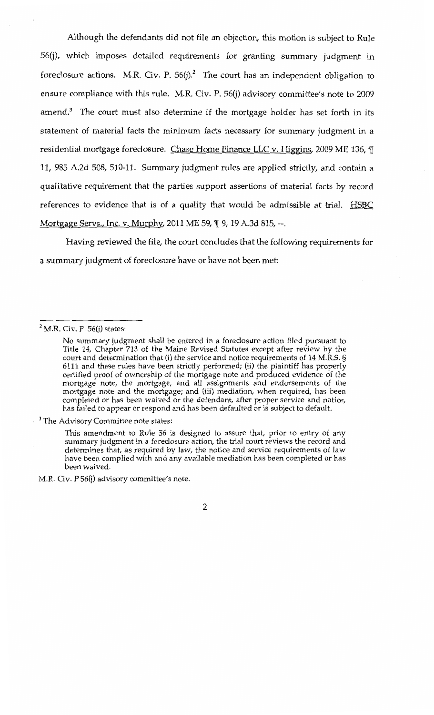Although the defendants did not file an objection, this motion is subject to Rule 56(j), which imposes detailed requirements for granting summary judgment in foreclosure actions. M.R. Civ. P.  $56(j)^2$  The court has an independent obligation to ensure compliance with this rule. M.R. Civ. P. 56(j) advisory committee's note to 2009 amend.<sup>3</sup> The court must also determine if the mortgage holder has set forth in its statement of material facts the minimum facts necessary for summary judgment in a residential mortgage foreclosure. Chase Home Finance LLC v. Higgins, 2009 ME 136,  $\P$ 11, 985 A.2d 508, 510-11. Summary judgment rules are applied strictly, and contain a qualitative requirement that the parties support assertions of material facts by record references to evidence that is of a quality that would be admissible at trial. HSBC Mortgage Servs., Inc. v. Murphy, 2011 ME 59, ¶ 9, 19 A.3d 815, --.

Having reviewed the file, the court concludes that the following requirements for a summary judgment of foreclosure have or have not been met:

<sup>3</sup> The Advisory Committee note states:

M.R. Civ. P 56(j) advisory committee's note.

 $^{2}$  M.R. Civ. P. 56(j) states:

No summary judgment shall be entered in a foreclosure action filed pursuant to Title 14, Chapter 713 of the Maine Revised Statutes except after review by the court and determination that (i) the service and notice requirements of 14 M.R.S. § 6111 and these rules have been strictly performed; (ii) the plaintiff has properly certified proof of ownership of the mortgage note and produced evidence of the mortgage note, the mortgage, and all assignments and endorsements of the mortgage note and the mortgage; and (iii) mediation, when required, has been completed or has been waived or the defendant, after proper service and notice, has failed to appear or respond and has been defaulted or is subject to default.

This amendment to Rule 56 is designed to assure that, prior to entry of any summary judgment in a foreclosure action, the trial court reviews the record and determines that, as required by law, the notice and service requirements of law have been complied with and any available mediation has been completed or has been waived.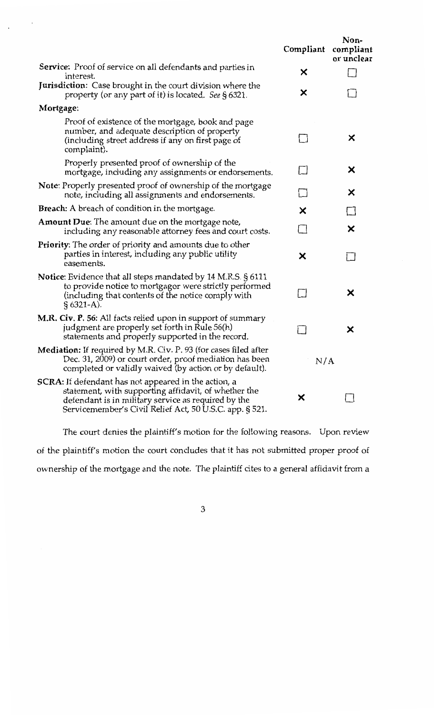|                                                                                                                                                                                                                                       | Compliant | Non-<br>compliant<br>or unclear |
|---------------------------------------------------------------------------------------------------------------------------------------------------------------------------------------------------------------------------------------|-----------|---------------------------------|
| <b>Service:</b> Proof of service on all defendants and parties in<br>interest.                                                                                                                                                        | ×         |                                 |
| Jurisdiction: Case brought in the court division where the<br>property (or any part of it) is located. See § 6321.                                                                                                                    | ×         |                                 |
| Mortgage:                                                                                                                                                                                                                             |           |                                 |
| Proof of existence of the mortgage, book and page<br>number, and adequate description of property<br>(including street address if any on first page of<br>complaint).                                                                 |           | ×                               |
| Properly presented proof of ownership of the<br>mortgage, including any assignments or endorsements.                                                                                                                                  |           | ×                               |
| <b>Note:</b> Properly presented proof of ownership of the mortgage<br>note, including all assignments and endorsements.                                                                                                               |           | ×                               |
| <b>Breach:</b> A breach of condition in the mortgage.                                                                                                                                                                                 | ×         |                                 |
| <b>Amount Due:</b> The amount due on the mortgage note,<br>including any reasonable attorney fees and court costs.                                                                                                                    |           | ×                               |
| <b>Priority:</b> The order of priority and amounts due to other<br>parties in interest, including any public utility<br>easements.                                                                                                    | ×         |                                 |
| Notice: Evidence that all steps mandated by 14 M.R.S. § 6111<br>to provide notice to mortgagor were strictly performed<br>(including that contents of the notice comply with<br>$§ 6321-A$ .                                          |           | ×                               |
| M.R. Civ. P. 56: All facts relied upon in support of summary<br>judgment are properly set forth in Rule 56(h)<br>statements and properly supported in the record.                                                                     |           | X                               |
| Mediation: If required by M.R. Civ. P. 93 (for cases filed after<br>Dec. 31, 2009) or court order, proof mediation has been<br>completed or validly waived (by action or by default).                                                 | N/A       |                                 |
| <b>SCRA:</b> If defendant has not appeared in the action, a<br>statement, with supporting affidavit, of whether the<br>defendant is in military service as required by the<br>Servicemember's Civil Relief Act, 50 U.S.C. app. § 521. | ×         |                                 |

The court denies the plaintiff's motion for the following reasons. Upon review of the plaintiff's motion the court concludes that it has not submitted proper proof of ownership of the mortgage and the note. The plaintiff cites to a general affidavit from a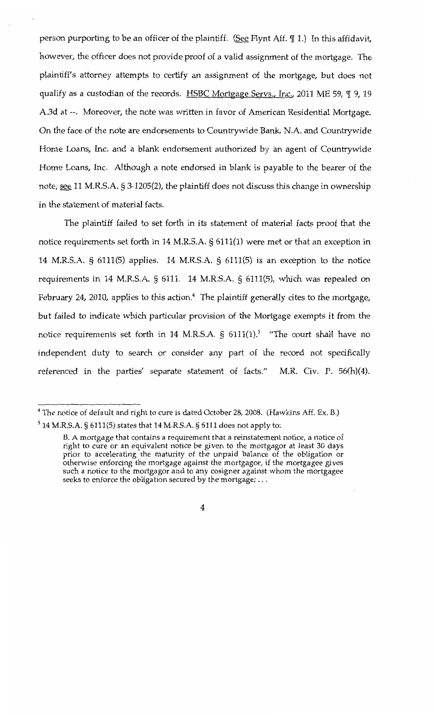person purporting to be an officer of the plaintiff. (See Flynt Aff.  $\P$  1.) In this affidavit, however, the officer does not provide proof of a valid assignment of the mortgage. The plaintiff's attorney attempts to certify an assignment of the mortgage, but does not qualify as a custodian of the records. HSBC Mortgage Servs., Inc., 2011 ME 59, ¶ 9, 19 A.3d at --. Moreover, the note was written in favor of American Residential Mortgage. On the face of the note are endorsements to Countrywide Bank, N.A. and Countrywide Home Loans, Inc. and a blank endorsement authorized by an agent of Countrywide Home Loans, Inc. Although a note endorsed in blank is payable to the bearer of the note, see 11 M.R.S.A. § 3-1205(2), the plaintiff does not discuss this change in ownership in the statement of material facts.

The plaintiff failed to set forth in its statement of material facts proof that the notice requirements set forth in 14 M.R.S.A. § 6111(1) were met or that an exception in 14 M.R.S.A. § 6111(5) applies. 14 M.R.S.A. § 6111(5) is an exception to the notice requirements in 14 M.R.S.A. § 6111. 14 M.R.S.A. § 6111(5), which was repealed on February 24, 2010, applies to this action.<sup>4</sup> The plaintiff generally cites to the mortgage, but failed to indicate which particular provision of the Mortgage exempts it from the notice requirements set forth in 14 M.R.S.A.  $\frac{1}{2}$  6111(1).<sup>5</sup> "The court shall have no independent duty to search or consider any part of the record not specifically referenced in the parties' separate statement of facts." M.R. Civ. P. 56(h)(4).

<sup>&</sup>lt;sup>4</sup> The notice of default and right to cure is dated October 28, 2008. (Hawkins Aff. Ex. B.)

 $^5$  14 M.R.S.A. § 6111(5) states that 14 M.R.S.A. § 6111 does not apply to:

B. A mortgage that contains a requirement that a reinstatement notice, a notice of right to cure or an equivalent notice be given to the mortgagor at least 30 days prior to accelerating the maturity of the unpaid balance of the obligation or otherwise enforcing the mortgage against the mortgagor, if the mortgagee gives such a notice to the mortgagor and to any cosigner against whom the mortgagee seeks to enforce the obligation secured by the mortgage; ...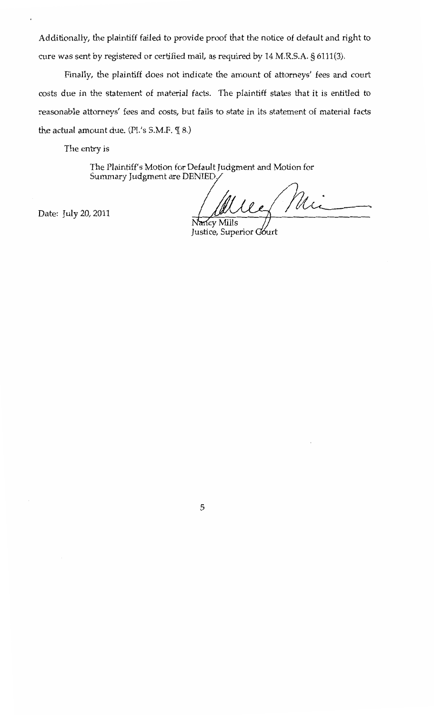Additionally, the plaintiff failed to provide proof that the notice of default and right to cure was sent by registered or certified mail, as required by 14 M.R.S.A. § 6111(3).

Finally, the plaintiff does not indicate the amount of attorneys' fees and court costs due in the statement of material facts. The plaintiff states that it is entitled to reasonable attorneys' fees and costs, but fails to state in its statement of material facts the actual amount due. (Pl.'s S.M.F.  $\P$  8.)

The entry is

The Plaintiff's Motion for Default Judgment and Motion for Summary Judgment are DENIED.

Date: July 20, 2011

Mii

cy Mills Justice, Superior Court